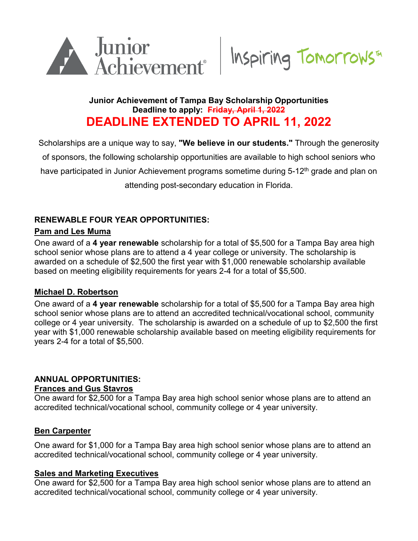



## **Junior Achievement of Tampa Bay Scholarship Opportunities Deadline to apply: Friday, April 1, 2022 DEADLINE EXTENDED TO APRIL 11, 2022**

Scholarships are a unique way to say, **"We believe in our students."** Through the generosity of sponsors, the following scholarship opportunities are available to high school seniors who have participated in Junior Achievement programs sometime during 5-12<sup>th</sup> grade and plan on attending post-secondary education in Florida.

## **RENEWABLE FOUR YEAR OPPORTUNITIES:**

### **Pam and Les Muma**

One award of a **4 year renewable** scholarship for a total of \$5,500 for a Tampa Bay area high school senior whose plans are to attend a 4 year college or university. The scholarship is awarded on a schedule of \$2,500 the first year with \$1,000 renewable scholarship available based on meeting eligibility requirements for years 2-4 for a total of \$5,500.

## **Michael D. Robertson**

One award of a **4 year renewable** scholarship for a total of \$5,500 for a Tampa Bay area high school senior whose plans are to attend an accredited technical/vocational school, community college or 4 year university. The scholarship is awarded on a schedule of up to \$2,500 the first year with \$1,000 renewable scholarship available based on meeting eligibility requirements for years 2-4 for a total of \$5,500.

#### **ANNUAL OPPORTUNITIES: Frances and Gus Stavros**

One award for \$2,500 for a Tampa Bay area high school senior whose plans are to attend an accredited technical/vocational school, community college or 4 year university.

## **Ben Carpenter**

One award for \$1,000 for a Tampa Bay area high school senior whose plans are to attend an accredited technical/vocational school, community college or 4 year university.

#### **Sales and Marketing Executives**

One award for \$2,500 for a Tampa Bay area high school senior whose plans are to attend an accredited technical/vocational school, community college or 4 year university.